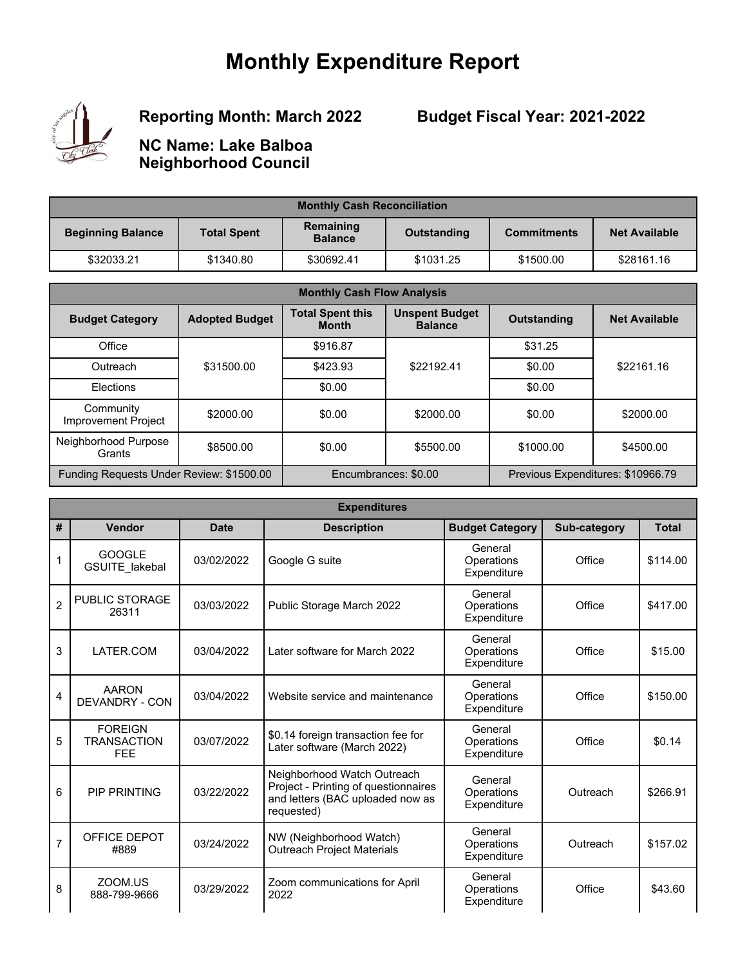# **Monthly Expenditure Report**



# **Reporting Month: March 2022**

**Budget Fiscal Year: 2021-2022**

**NC Name: Lake Balboa Neighborhood Council**

| <b>Monthly Cash Reconciliation</b> |                    |                             |             |                    |                      |  |
|------------------------------------|--------------------|-----------------------------|-------------|--------------------|----------------------|--|
| <b>Beginning Balance</b>           | <b>Total Spent</b> | Remaining<br><b>Balance</b> | Outstanding | <b>Commitments</b> | <b>Net Available</b> |  |
| \$32033.21                         | \$1340.80          | \$30692.41                  | \$1031.25   | \$1500.00          | \$28161.16           |  |

| <b>Monthly Cash Flow Analysis</b>        |                       |                                         |                                         |                                   |                      |  |
|------------------------------------------|-----------------------|-----------------------------------------|-----------------------------------------|-----------------------------------|----------------------|--|
| <b>Budget Category</b>                   | <b>Adopted Budget</b> | <b>Total Spent this</b><br><b>Month</b> | <b>Unspent Budget</b><br><b>Balance</b> | <b>Outstanding</b>                | <b>Net Available</b> |  |
| Office                                   |                       | \$916.87                                |                                         | \$31.25                           |                      |  |
| Outreach                                 | \$31500.00            | \$423.93                                | \$22192.41                              | \$0.00                            | \$22161.16           |  |
| Elections                                |                       | \$0.00                                  |                                         | \$0.00                            |                      |  |
| Community<br>Improvement Project         | \$2000.00             | \$0.00                                  | \$2000.00                               | \$0.00                            | \$2000.00            |  |
| Neighborhood Purpose<br>Grants           | \$8500.00             | \$0.00                                  | \$5500.00                               | \$1000.00                         | \$4500.00            |  |
| Funding Requests Under Review: \$1500.00 |                       |                                         | Encumbrances: \$0.00                    | Previous Expenditures: \$10966.79 |                      |  |

|                | <b>Expenditures</b>                                |             |                                                                                                                       |                                      |              |              |  |  |
|----------------|----------------------------------------------------|-------------|-----------------------------------------------------------------------------------------------------------------------|--------------------------------------|--------------|--------------|--|--|
| #              | <b>Vendor</b>                                      | <b>Date</b> | <b>Description</b>                                                                                                    | <b>Budget Category</b>               | Sub-category | <b>Total</b> |  |  |
| 1              | <b>GOOGLE</b><br>GSUITE_lakebal                    | 03/02/2022  | Google G suite                                                                                                        | General<br>Operations<br>Expenditure | Office       | \$114.00     |  |  |
| $\overline{2}$ | <b>PUBLIC STORAGE</b><br>26311                     | 03/03/2022  | Public Storage March 2022                                                                                             | General<br>Operations<br>Expenditure | Office       | \$417.00     |  |  |
| 3              | LATER.COM                                          | 03/04/2022  | Later software for March 2022                                                                                         | General<br>Operations<br>Expenditure | Office       | \$15.00      |  |  |
| 4              | <b>AARON</b><br>DEVANDRY - CON                     | 03/04/2022  | Website service and maintenance                                                                                       | General<br>Operations<br>Expenditure | Office       | \$150.00     |  |  |
| 5              | <b>FOREIGN</b><br><b>TRANSACTION</b><br><b>FEE</b> | 03/07/2022  | \$0.14 foreign transaction fee for<br>Later software (March 2022)                                                     | General<br>Operations<br>Expenditure | Office       | \$0.14       |  |  |
| 6              | <b>PIP PRINTING</b>                                | 03/22/2022  | Neighborhood Watch Outreach<br>Project - Printing of questionnaires<br>and letters (BAC uploaded now as<br>requested) | General<br>Operations<br>Expenditure | Outreach     | \$266.91     |  |  |
| $\overline{7}$ | OFFICE DEPOT<br>#889                               | 03/24/2022  | NW (Neighborhood Watch)<br><b>Outreach Project Materials</b>                                                          | General<br>Operations<br>Expenditure | Outreach     | \$157.02     |  |  |
| 8              | ZOOM.US<br>888-799-9666                            | 03/29/2022  | Zoom communications for April<br>2022                                                                                 | General<br>Operations<br>Expenditure | Office       | \$43.60      |  |  |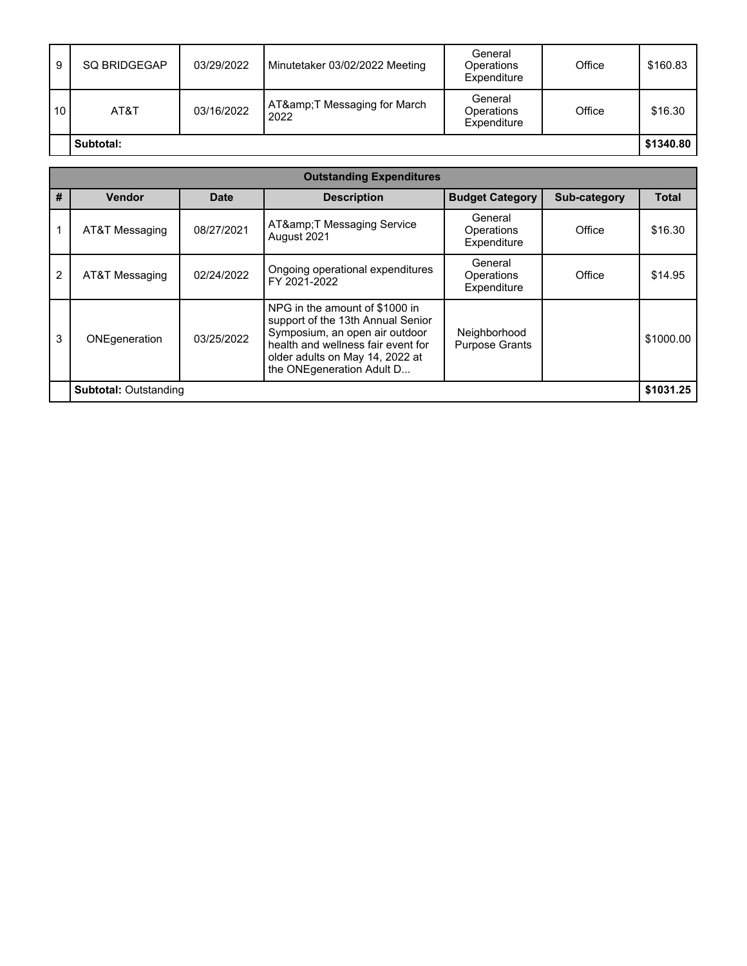|    | Subtotal:           |            | 2022                           | Expenditure                          |        | \$1340.80 |
|----|---------------------|------------|--------------------------------|--------------------------------------|--------|-----------|
| 10 | AT&T                | 03/16/2022 | AT& T Messaging for March      | General<br>Operations                | Office | \$16.30   |
| 9  | <b>SQ BRIDGEGAP</b> | 03/29/2022 | Minutetaker 03/02/2022 Meeting | General<br>Operations<br>Expenditure | Office | \$160.83  |

|                | <b>Outstanding Expenditures</b> |            |                                                                                                                                                                                                             |                                       |                     |           |  |
|----------------|---------------------------------|------------|-------------------------------------------------------------------------------------------------------------------------------------------------------------------------------------------------------------|---------------------------------------|---------------------|-----------|--|
| #              | <b>Vendor</b>                   | Date       | <b>Description</b>                                                                                                                                                                                          | <b>Budget Category</b>                | <b>Sub-category</b> | Total     |  |
|                | AT&T Messaging                  | 08/27/2021 | AT&T Messaging Service<br>August 2021                                                                                                                                                                       | General<br>Operations<br>Expenditure  | Office              | \$16.30   |  |
| $\overline{2}$ | AT&T Messaging                  | 02/24/2022 | Ongoing operational expenditures<br>FY 2021-2022                                                                                                                                                            | General<br>Operations<br>Expenditure  | Office              | \$14.95   |  |
| 3              | ONEgeneration                   | 03/25/2022 | NPG in the amount of \$1000 in<br>support of the 13th Annual Senior<br>Symposium, an open air outdoor<br>health and wellness fair event for<br>older adults on May 14, 2022 at<br>the ONEgeneration Adult D | Neighborhood<br><b>Purpose Grants</b> |                     | \$1000.00 |  |
|                | <b>Subtotal: Outstanding</b>    |            |                                                                                                                                                                                                             |                                       |                     | \$1031.25 |  |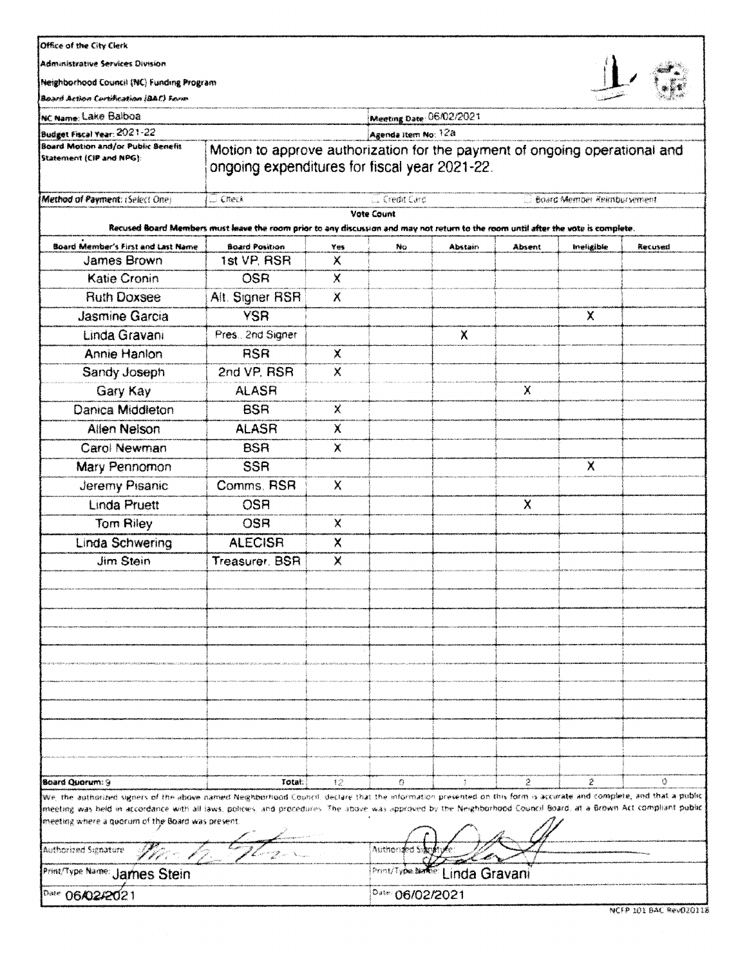#### Office of the City Clerk

**Administrative Services Division** 

Neighborhood Council (NC) Funding Program

上后

.<br>Seba وبدانا بالمروا

| Board Action Certification (BAC) Form                                                                                                                                                                                                                                                                                                                                                         |                                                                                                                                    |           |                          |               |             |                                   | <b>SCIENCE ROOM</b> |
|-----------------------------------------------------------------------------------------------------------------------------------------------------------------------------------------------------------------------------------------------------------------------------------------------------------------------------------------------------------------------------------------------|------------------------------------------------------------------------------------------------------------------------------------|-----------|--------------------------|---------------|-------------|-----------------------------------|---------------------|
| Inc name: Lake Balboa                                                                                                                                                                                                                                                                                                                                                                         |                                                                                                                                    |           | Meeting Date: 06/02/2021 |               |             |                                   |                     |
| Budget Fiscal Year: 2021-22                                                                                                                                                                                                                                                                                                                                                                   |                                                                                                                                    |           | Agenda Item No: 128      |               |             |                                   |                     |
| <b>Board Motion and/or Public Benefit</b><br>Statement (CIP and NPG):                                                                                                                                                                                                                                                                                                                         | Motion to approve authorization for the payment of ongoing operational and<br>ongoing expenditures for fiscal year 2021-22.        |           |                          |               |             |                                   |                     |
| Method of Payment: (Select One)                                                                                                                                                                                                                                                                                                                                                               | $\cup$ Check                                                                                                                       |           | <b>Credit Card</b>       |               |             | <b>Board Member Reimbursement</b> |                     |
|                                                                                                                                                                                                                                                                                                                                                                                               | Recused Board Members must leave the room prior to any discussion and may not return to the room until after the vote is complete. |           | <b>Vote Count</b>        |               |             |                                   |                     |
| Board Member's First and Last Name                                                                                                                                                                                                                                                                                                                                                            | <b>Board Position</b>                                                                                                              | Yes       | No                       | Abstain       | Absent      | Ineligible                        | Recused             |
| James Brown                                                                                                                                                                                                                                                                                                                                                                                   | 1st VP. RSR                                                                                                                        | х         |                          |               |             |                                   |                     |
| <b>Katie Cronin</b>                                                                                                                                                                                                                                                                                                                                                                           | OSR                                                                                                                                | X         |                          |               |             |                                   |                     |
| <b>Ruth Doxsee</b>                                                                                                                                                                                                                                                                                                                                                                            | Alt. Signer RSR                                                                                                                    | $\lambda$ |                          |               |             |                                   |                     |
| Jasmine Garcia                                                                                                                                                                                                                                                                                                                                                                                | <b>YSR</b>                                                                                                                         |           |                          |               |             | $\mathsf{X}$                      |                     |
| Linda Gravani                                                                                                                                                                                                                                                                                                                                                                                 | Pres., 2nd Signer                                                                                                                  |           |                          | X             |             |                                   |                     |
| Annie Hanlon                                                                                                                                                                                                                                                                                                                                                                                  | <b>RSR</b>                                                                                                                         | X         |                          |               |             |                                   |                     |
| Sandy Joseph                                                                                                                                                                                                                                                                                                                                                                                  | 2nd VP, RSR                                                                                                                        | X         |                          |               |             |                                   |                     |
| Gary Kay                                                                                                                                                                                                                                                                                                                                                                                      | <b>ALASR</b>                                                                                                                       |           |                          |               | X           |                                   |                     |
| Danica Middleton                                                                                                                                                                                                                                                                                                                                                                              | <b>BSR</b>                                                                                                                         | Χ         |                          |               |             |                                   |                     |
| <b>Allen Nelson</b>                                                                                                                                                                                                                                                                                                                                                                           | <b>ALASR</b>                                                                                                                       | χ         |                          |               |             |                                   |                     |
| Carol Newman                                                                                                                                                                                                                                                                                                                                                                                  | <b>BSR</b>                                                                                                                         | X         |                          |               |             |                                   |                     |
| Mary Pennomon                                                                                                                                                                                                                                                                                                                                                                                 | <b>SSR</b>                                                                                                                         |           |                          |               |             | $\times$                          |                     |
| Jeremy Pisanic                                                                                                                                                                                                                                                                                                                                                                                | Comms, RSR                                                                                                                         | X         |                          |               |             |                                   |                     |
| <b>Linda Pruett</b>                                                                                                                                                                                                                                                                                                                                                                           | <b>OSR</b>                                                                                                                         |           |                          |               | X           |                                   |                     |
| Tom Riley                                                                                                                                                                                                                                                                                                                                                                                     | <b>OSR</b>                                                                                                                         | X         |                          |               |             |                                   |                     |
| Linda Schwering                                                                                                                                                                                                                                                                                                                                                                               | <b>ALECISR</b>                                                                                                                     | X         |                          |               |             |                                   |                     |
| <b>Jim Stein</b>                                                                                                                                                                                                                                                                                                                                                                              | Treasurer, BSR                                                                                                                     | X         |                          |               |             |                                   |                     |
|                                                                                                                                                                                                                                                                                                                                                                                               |                                                                                                                                    |           |                          |               |             |                                   |                     |
|                                                                                                                                                                                                                                                                                                                                                                                               |                                                                                                                                    |           |                          |               |             |                                   |                     |
|                                                                                                                                                                                                                                                                                                                                                                                               |                                                                                                                                    |           |                          |               |             |                                   |                     |
|                                                                                                                                                                                                                                                                                                                                                                                               |                                                                                                                                    |           |                          |               |             |                                   |                     |
|                                                                                                                                                                                                                                                                                                                                                                                               |                                                                                                                                    |           |                          |               |             |                                   |                     |
|                                                                                                                                                                                                                                                                                                                                                                                               |                                                                                                                                    |           |                          |               |             |                                   |                     |
|                                                                                                                                                                                                                                                                                                                                                                                               |                                                                                                                                    |           |                          |               |             |                                   |                     |
|                                                                                                                                                                                                                                                                                                                                                                                               |                                                                                                                                    |           |                          |               |             |                                   |                     |
|                                                                                                                                                                                                                                                                                                                                                                                               |                                                                                                                                    |           |                          |               |             |                                   |                     |
|                                                                                                                                                                                                                                                                                                                                                                                               |                                                                                                                                    |           |                          |               |             |                                   |                     |
|                                                                                                                                                                                                                                                                                                                                                                                               |                                                                                                                                    |           |                          |               |             |                                   |                     |
| Board Quorum: 9                                                                                                                                                                                                                                                                                                                                                                               | Total:                                                                                                                             | 12        | G                        | ÷             | $\tilde{z}$ | 2                                 | Ô.                  |
| We, the authorized signers of the above named Neighborhood Council, declare that the information presented on this form is accurate and complete, and that a public<br>mseting was held in accordance with all laws, policies, and procedures. The above was approved by the Neighborhood Council Board, at a Brown Act compliant public<br>imeeting where a quorum of the Board was present. |                                                                                                                                    |           |                          |               |             |                                   |                     |
| Authorized Signature                                                                                                                                                                                                                                                                                                                                                                          |                                                                                                                                    |           | Authori                  |               |             |                                   |                     |
| Print/Type Name: James Stein                                                                                                                                                                                                                                                                                                                                                                  |                                                                                                                                    |           | Print/Ty <b>oe.bi</b> a  | .inda Gravani |             |                                   |                     |
| <sup>Date</sup> 06 <b>/02/20</b> 21                                                                                                                                                                                                                                                                                                                                                           |                                                                                                                                    |           | Date: 06/02/2021         |               |             |                                   |                     |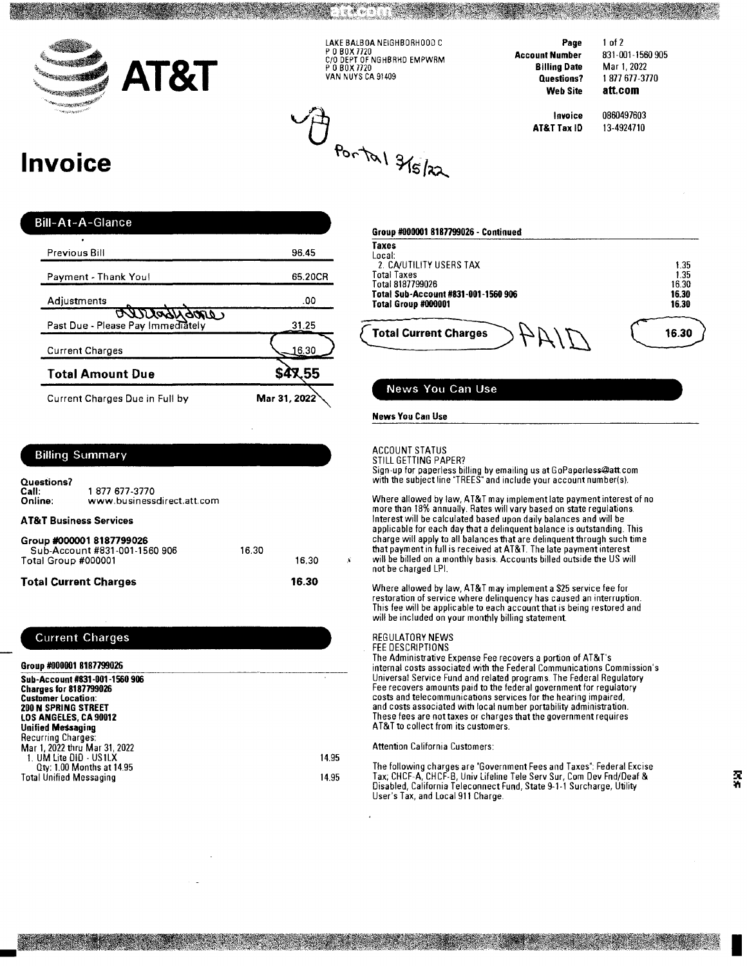

LAKE BALBOA NEIGHBORHOOD C P O BOX 7720<br>C/O DEPT OF NGHBRHD EMPWRM<br>P O BOX 7720 VAN NUYS CA 91409

 $\bigoplus_{P_{0}\cap\mathcal{P}_{0}}\mathcal{H}_{S/32}$ 

Page **Account Number Billing Date** Questions? **Web Site** 

831-001-1560 905 Mar 1, 2022 1877677-3770 att.com

Invoice AT&T Tax ID 0860497603 13-4924710

 $1$  of  $2$ 

# **Invoice**

| <b>Bill-At-A-Glance</b>                               |              |
|-------------------------------------------------------|--------------|
| Previous Bill                                         | 96.45        |
| Payment - Thank You!                                  | 65.20CR      |
| Adjustments                                           | .00          |
| <u>annonnamo</u><br>Past Due - Please Pay Immediately | 31.25        |
| <b>Current Charges</b>                                | 16.30        |
| <b>Total Amount Due</b>                               | 55           |
| Current Charges Due in Full by                        | Mar 31, 2022 |

| 1.35  |
|-------|
| 1.35  |
| 16.30 |
| 16.30 |
| 16.30 |
| 16.30 |
|       |
|       |

#### News You Can Use

#### **News You Can Use**

#### **ACCOUNT STATUS** STILL GETTING PAPER?

Sign-up for paperless billing by emailing us at GoPaperless@att.com<br>with the subject line "TREES" and include your account number(s).

Where allowed by law, AT&T may implement late payment interest of no more than 18% annually. Rates will vary based on state regulations. Interest will be calculated based upon daily balances and will be applicable for each day that a delinquent balance is outstanding. This charge will apply to all balances that are delinquent through such time that payment in full is received at AT&T. The late payment interest will be billed on a monthly basis. Accounts billed outside the US will not be charged LPI.

Where allowed by law, AT&T may implement a \$25 service fee for restoration of service where delinquency has caused an interruption. This fee will be applicable to each account that is being restored and will be included on your monthly billing statement.

## REGULATORY NEWS

FEE DESCRIPTIONS

The Administrative Expense Fee recovers a portion of AT&T's internal costs associated with the Federal Communications Commission's Universal Service Fund and related programs. The Federal Regulatory<br>Fee recovers amounts paid to the federal government for regulatory costs and telecommunications services for the hearing impaired, and costs associated with local number portability administration. These fees are not taxes or charges that the government requires AT&T to collect from its customers.

#### **Attention California Customers:**

The following charges are "Government Fees and Taxes": Federal Excise Tax; CHCF-A, CHCF-B, Univ Lifeline Tele Serv Sur, Com Dev Fnd/Deaf & Disabled, California Teleconnect Fund, State 9-1-1 Surcharge, Utility User's Tax, and Local 911 Charge.

#### **Billing Summary**

Questions? 1877 677-3770 Call:<br>Online: www.businessdirect.att.com **AT&T Business Services** 

| Group #000001 8187799026<br>Sub-Account #831-001-1560 906 | 16.30 |       |  |
|-----------------------------------------------------------|-------|-------|--|
| Total Group #000001                                       |       | 16.30 |  |
| <b>Total Current Charges</b>                              |       | 16.30 |  |

#### **Current Charges**

| Group #000001 8187799026                                                                                                                           |                |
|----------------------------------------------------------------------------------------------------------------------------------------------------|----------------|
| Sub-Account #831-001-1560 906<br><b>Charges for 8187799026</b><br><b>Customer Location:</b><br><b>200 N SPRING STREET</b><br>LOS ANGELES, CA 90012 |                |
| <b>Unified Messaging</b><br>Recurring Charges:<br>Mar 1, 2022 thru Mar 31, 2022                                                                    |                |
| 1. UM Lite DID - US1LX<br>Qty: 1.00 Months at 14.95<br><b>Total Unified Messaging</b>                                                              | 14.95<br>14.95 |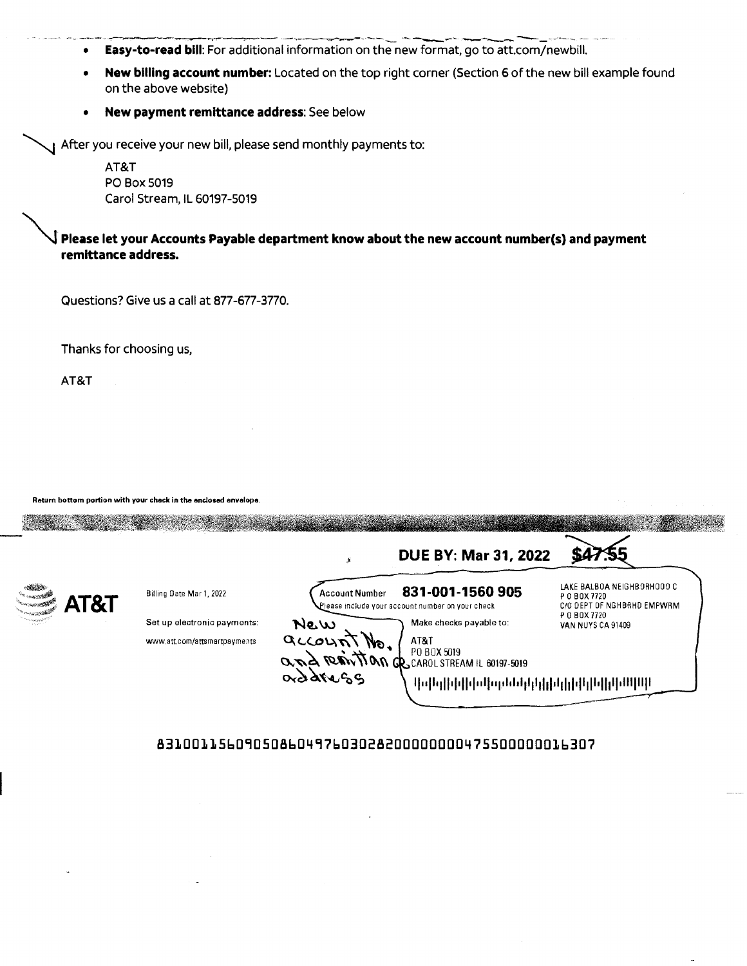- Easy-to-read bill: For additional information on the new format, go to att.com/newbill.  $\bullet$
- New billing account number: Located on the top right corner (Section 6 of the new bill example found  $\bullet$ on the above website)
- New payment remittance address: See below  $\bullet$

I After you receive your new bill, please send monthly payments to:

AT&T PO Box 5019 Carol Stream, IL 60197-5019

 $\overline{\mathsf{J}}$  Please let your Accounts Payable department know about the new account number(s) and payment remittance address.

Questions? Give us a call at 877-677-3770.

Thanks for choosing us,

AT&T

Return bottom portion with your check in the enclosed envelope.

|      |                              |                       | <b>DUE BY: Mar 31, 2022</b>                                          |                                                                            |
|------|------------------------------|-----------------------|----------------------------------------------------------------------|----------------------------------------------------------------------------|
| AT&T | Billing Date Mar 1, 2022     | <b>Account Number</b> | 831-001-1560 905<br>Please include your account number on your check | LAKE BALBOA NEIGHBORHOOO C<br>P 0 B 0 X 7720<br>C/O DEPT OF NGHBRHD EMPWRM |
|      | Set up electronic payments:  | New                   | Make checks payable to:                                              | P 0 B 0 X 7720<br>VAN NUYS CA 91409                                        |
|      | www.att.com/attsmartpayments | account No.           | AT&T<br>PO BOX 5019<br>and regiving a carol STREAM IL 60197-5019     |                                                                            |
|      |                              | orddregg              | <u>Մախիկանաններիկակիկիկական</u>                                      |                                                                            |

## 83100115609050860497603028200000000475500000016307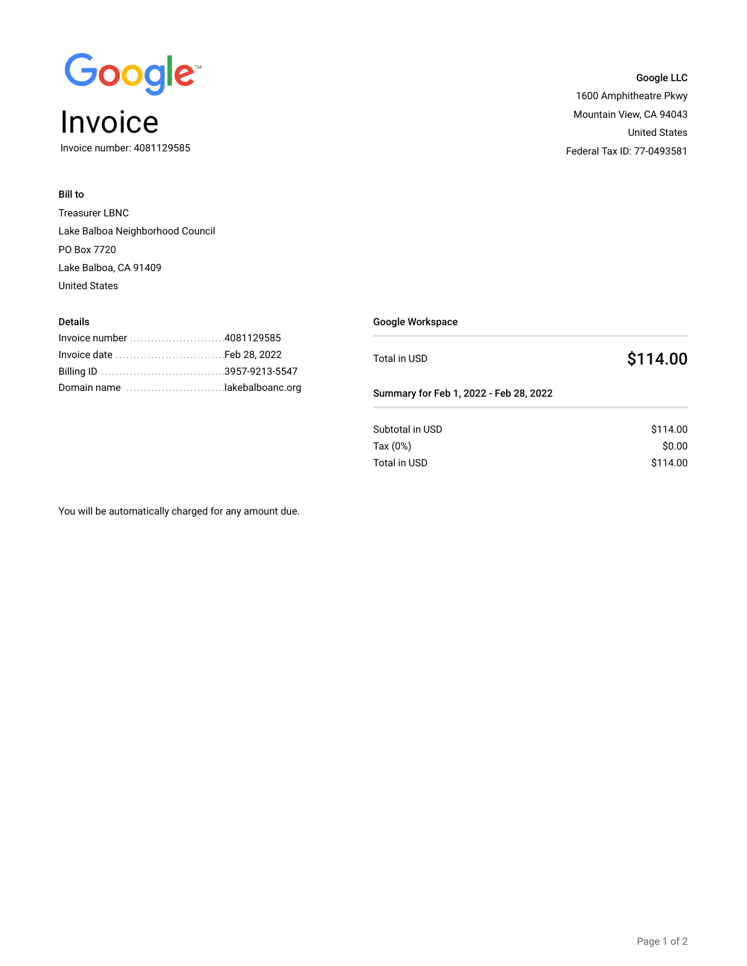

Invoice number: 4081129585

## Bill to

Treasurer LBNC Lake Balboa Neighborhood Council PO Box 7720 Lake Balboa, CA 91409 United States

| <b>Details</b>             |                                                | Google Workspace                       |          |  |
|----------------------------|------------------------------------------------|----------------------------------------|----------|--|
| Invoice date<br>Billing ID | .4081129585<br>Feb 28, 2022<br>.3957-9213-5547 | Total in USD                           | \$114.00 |  |
|                            |                                                | Summary for Feb 1, 2022 - Feb 28, 2022 |          |  |
|                            |                                                | Subtotal in USD                        | \$114.00 |  |
|                            |                                                | Tax $(0%)$                             | \$0.00   |  |
|                            |                                                | Total in USD                           | \$114.00 |  |

You will be automatically charged for any amount due.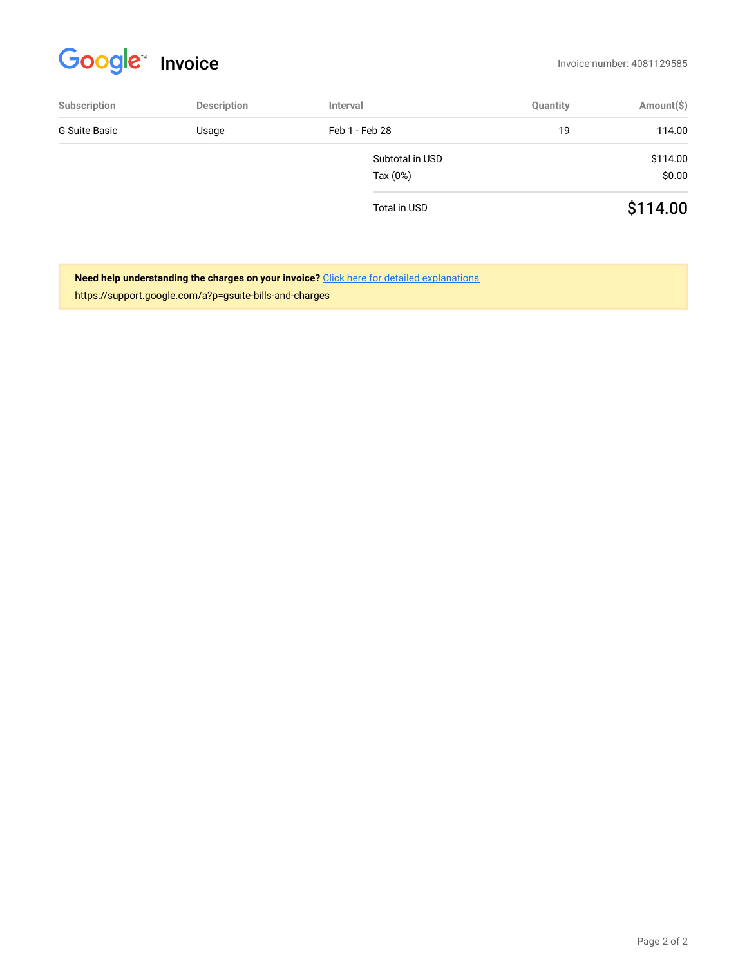# Google Invoice **Invoice**

| Subscription  | <b>Description</b> | Interval        | Quantity | Amount(\$) |
|---------------|--------------------|-----------------|----------|------------|
| G Suite Basic | Usage              | Feb 1 - Feb 28  | 19       | 114.00     |
|               |                    | Subtotal in USD |          | \$114.00   |
|               |                    | Tax $(0%)$      |          | \$0.00     |
|               |                    | Total in USD    |          | \$114.00   |

**Need help understanding the charges on your invoice?** Click here for detailed explanations https://support.google.com/a?p=gsuite-bills-and-charges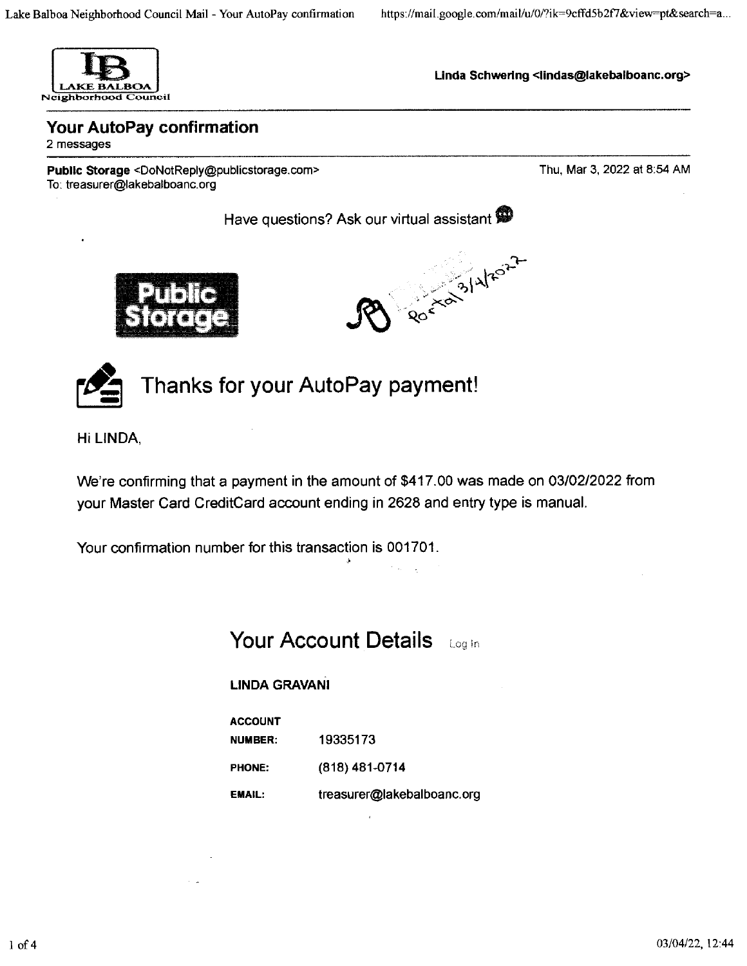

Linda Schwering <lindas@lakebalboanc.org>

Your AutoPay confirmation 2 messages

Public Storage <DoNotReply@publicstorage.com> To: treasurer@lakebalboanc.org

Thu, Mar 3, 2022 at 8:54 AM

Have questions? Ask our virtual assistant







Thanks for your AutoPay payment!

Hi LINDA.

We're confirming that a payment in the amount of \$417.00 was made on 03/02/2022 from your Master Card CreditCard account ending in 2628 and entry type is manual.

Your confirmation number for this transaction is 001701.

**Your Account Details** Log in

# **LINDA GRAVANI**

**ACCOUNT** 19335173 **NUMBER: PHONE:** (818) 481-0714

treasurer@lakebalboanc.org **EMAIL:**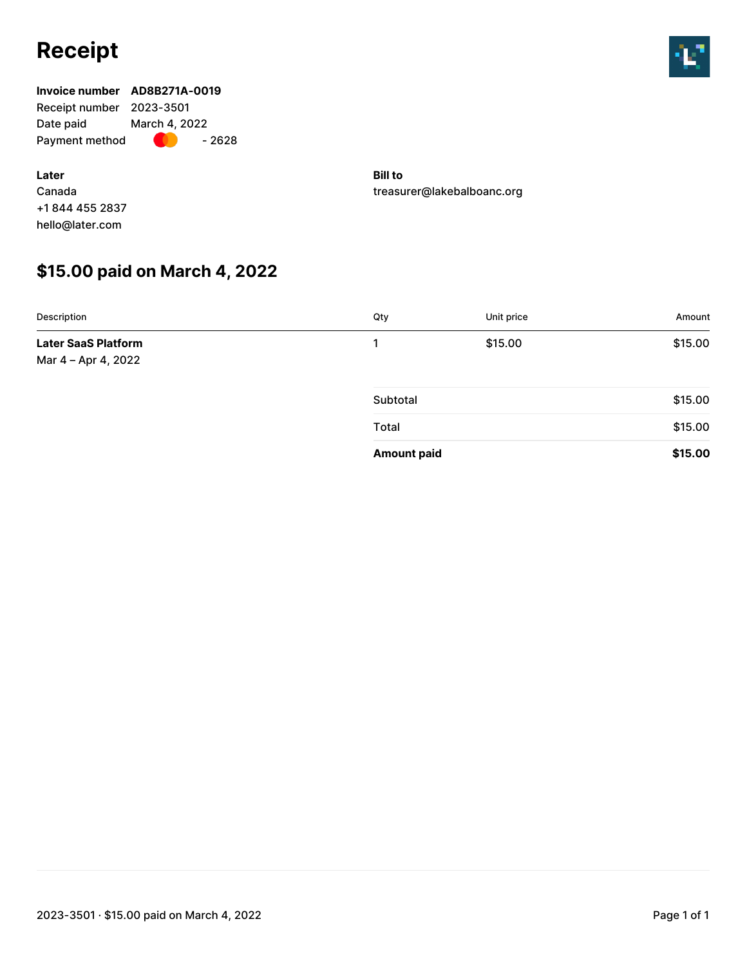# **Receipt**



# **Invoice number AD8B271A-0019** Receipt number 2023-3501 Date paid March 4, 2022 Payment method  $\bullet$  - 2628

**Later** Canada +1 844 455 2837 hello@later.com

**Bill to** treasurer@lakebalboanc.org

# **\$15.00 paid on March 4, 2022**

| Description                                       | Qty                | Unit price | Amount  |
|---------------------------------------------------|--------------------|------------|---------|
| <b>Later SaaS Platform</b><br>Mar 4 - Apr 4, 2022 |                    | \$15.00    | \$15.00 |
|                                                   | Subtotal           |            | \$15.00 |
|                                                   | Total              |            | \$15.00 |
|                                                   | <b>Amount paid</b> |            | \$15.00 |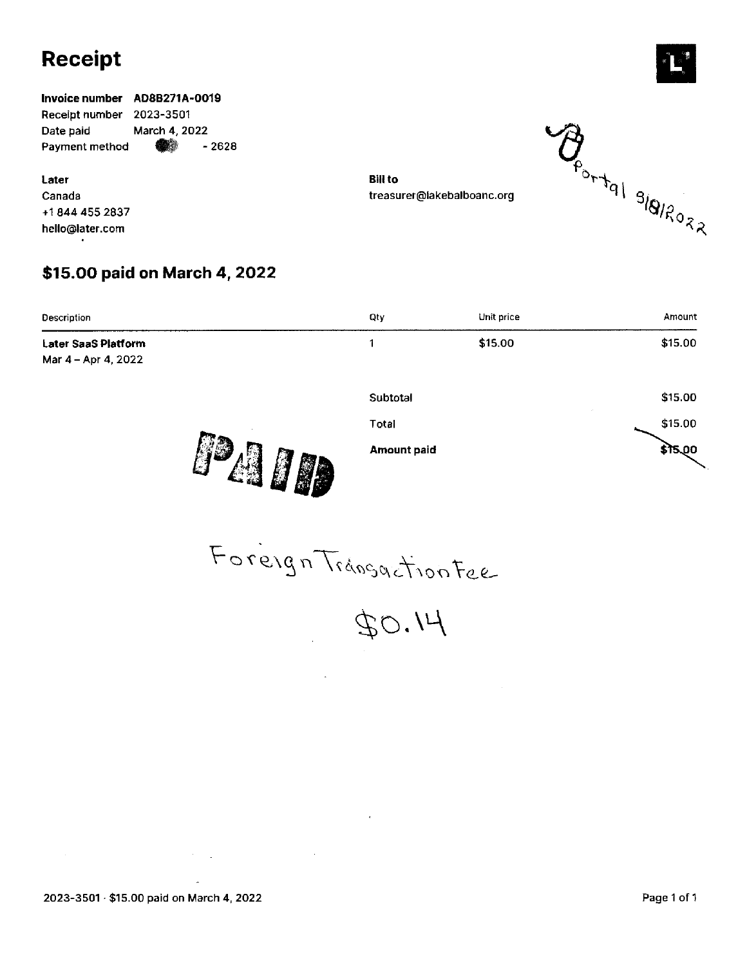# **Receipt**

Invoice number AD8B271A-0019 Receipt number 2023-3501 Date paid March 4, 2022 Payment method œ  $-2628$ 

Later Canada +1 844 455 2837 hello@later.com

# \$15.00 paid on March 4, 2022

Qty Unit price Amount Description  $\mathbf{1}$ \$15.00 \$15.00 **Later SaaS Platform** Mar 4 - Apr 4, 2022 Subtotal \$15.00 \$15.00 Total PAID  $515,00$ **Amount paid** 

Foreign Transaction Fee

 $40.14$ 

 $\mathcal{F}^{\mathcal{A}}_{\mathcal{A}}$  and  $\mathcal{F}^{\mathcal{A}}_{\mathcal{A}}$ 





**Bill to** treasurer@lakebalboanc.org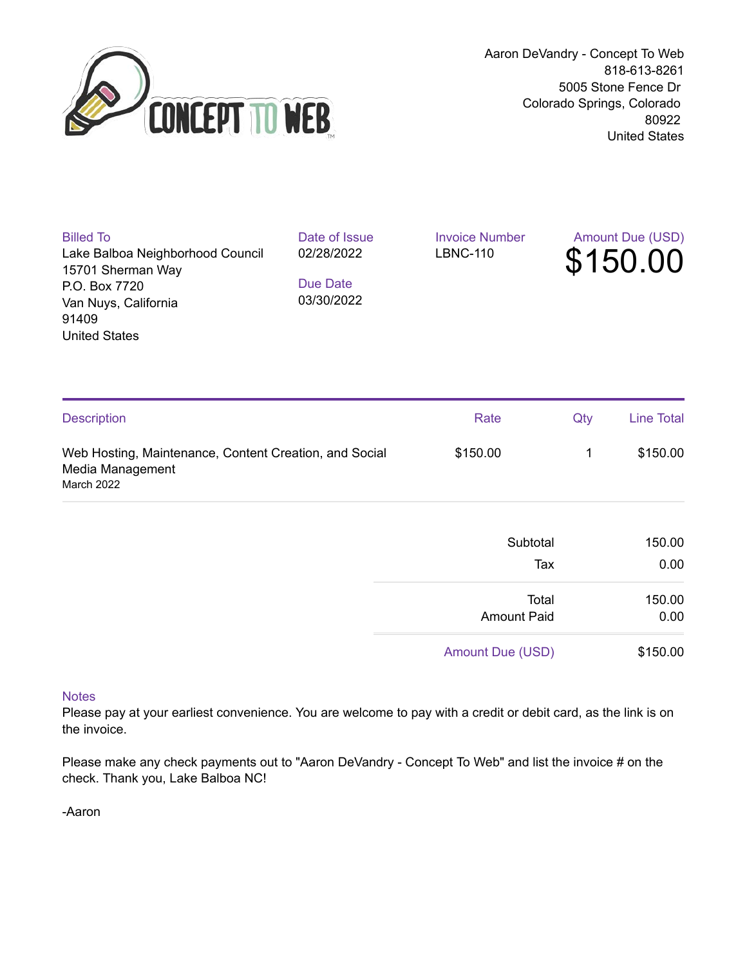

Aaron DeVandry - Concept To Web 818-613-8261 5005 Stone Fence Dr Colorado Springs, Colorado 80922 United States

| <b>Billed To</b>                 | Date of Issue | <b>Invoice Number</b> | <b>Amount Due (USD)</b> |
|----------------------------------|---------------|-----------------------|-------------------------|
| Lake Balboa Neighborhood Council | 02/28/2022    | <b>LBNC-110</b>       | \$150.00                |
| 15701 Sherman Way                |               |                       |                         |
| P.O. Box 7720                    | Due Date      |                       |                         |
| Van Nuys, California             | 03/30/2022    |                       |                         |
| 91409                            |               |                       |                         |
| <b>United States</b>             |               |                       |                         |
|                                  |               |                       |                         |
|                                  |               |                       |                         |

| <b>Description</b>                                                                       | Rate     | Qtv | <b>Line Total</b> |
|------------------------------------------------------------------------------------------|----------|-----|-------------------|
| Web Hosting, Maintenance, Content Creation, and Social<br>Media Management<br>March 2022 | \$150.00 |     | \$150.00          |

| 150.00 | Subtotal           |
|--------|--------------------|
| 0.00   | Tax                |
| 150.00 | Total              |
| 0.00   | <b>Amount Paid</b> |

Amount Due (USD) \$150.00

## **Notes**

Please pay at your earliest convenience. You are welcome to pay with a credit or debit card, as the link is on the invoice.

Please make any check payments out to "Aaron DeVandry - Concept To Web" and list the invoice # on the check. Thank you, Lake Balboa NC!

-Aaron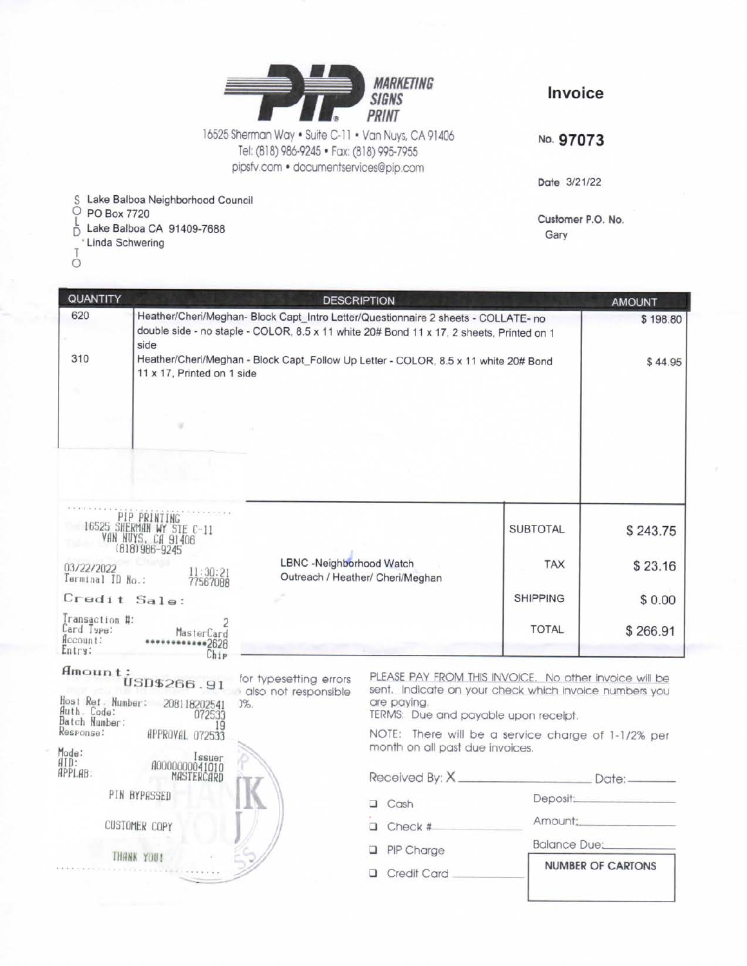

Invoice

16525 Sherman Way . Suite C-11 . Van Nuys, CA 91406 Tel: (818) 986-9245 · Fax: (818) 995-7955 pipsfv.com · documentservices@pip.com

No. 97073

Date 3/21/22

Customer P.O. No. Gary

S Lake Balboa Neighborhood Council<br>
O PO Box 7720

 $\frac{L}{D}$ Lake Balboa CA 91409-7688

- ' Linda Schwering
- Ó

| QUANTITY                                            |                                                                                                                                                                                        | <b>DESCRIPTION</b>                                           |                 | <b>AMOUNT</b> |
|-----------------------------------------------------|----------------------------------------------------------------------------------------------------------------------------------------------------------------------------------------|--------------------------------------------------------------|-----------------|---------------|
| 620                                                 | Heather/Cheri/Meghan- Block Capt_Intro Letter/Questionnaire 2 sheets - COLLATE- no<br>double side - no staple - COLOR, 8.5 x 11 white 20# Bond 11 x 17, 2 sheets, Printed on 1<br>side | \$198.80                                                     |                 |               |
| 310                                                 | Heather/Cheri/Meghan - Block Capt_Follow Up Letter - COLOR, 8.5 x 11 white 20# Bond<br>11 x 17, Printed on 1 side                                                                      | \$44.95                                                      |                 |               |
|                                                     |                                                                                                                                                                                        |                                                              |                 |               |
|                                                     |                                                                                                                                                                                        |                                                              |                 |               |
|                                                     | PIP PRINTING<br>16525 SHERMAN WY STE C-11<br>VAN NUYS, CA 91406<br>(818) 986-9245                                                                                                      |                                                              | <b>SUBTOTAL</b> | \$243.75      |
| 03/22/2022<br>Terminal ID No.:                      | 11:30:21<br>77567088                                                                                                                                                                   | LBNC -Neighborhood Watch<br>Outreach / Heather/ Cheri/Meghan | <b>TAX</b>      | \$23.16       |
| Credit Sale:                                        |                                                                                                                                                                                        |                                                              | <b>SHIPPING</b> | \$0.00        |
| Transaction #:<br>Card Type:<br>ficcount:<br>Entry: | MasterCard<br>•2628<br>Chip                                                                                                                                                            |                                                              | <b>TOTAL</b>    | \$266.91      |

for typesetting errors

 $\begin{array}{c} \texttt{Amount:} \\ \texttt{USD$4266.91} \end{array}$ also not responsible Host Ref. Number: 208118202541<br>Huth. Code: 072533<br>Batch Number: 072533  $3%$ 19 Response: APPROVAL 072533 Mode:<br>AID:<br>APPLAB:

# Issuer<br>00000000041010 MASTERCARD PIN BYPASSED

**CUSTOMER COPY** 

THANK YOU!

PLEASE PAY FROM THIS INVOICE. No other invoice will be sent. Indicate on your check which invoice numbers you are paying.

TERMS: Due and payable upon receipt.

NOTE: There will be a service charge of 1-1/2% per month on all past due invoices.

Received By: X. Date:

Deposit:

Amount:

 $\Box$  Cash

 $\Box$  Check #

**Balance Due:** 

Credit Card

PIP Charge

**NUMBER OF CARTONS**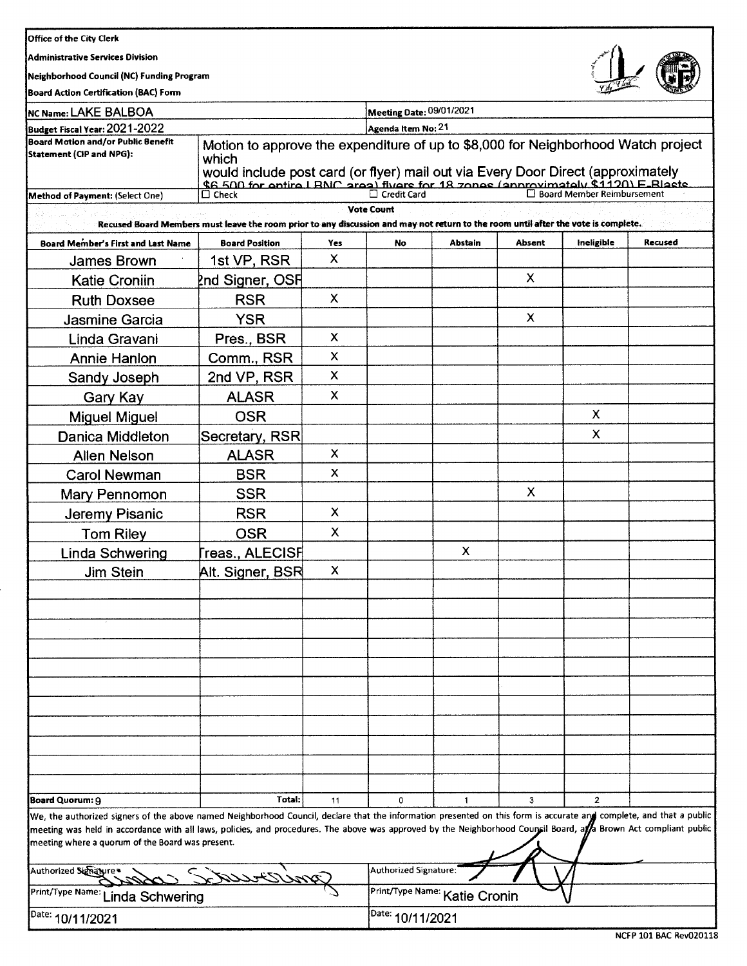Administrative Services Division

Neighborhood Council (NC) Funding Program



Board Action Certification (BAC) Form

| NC Name: LAKE BALBOA                                                                                                                                                                                                                                                                                                                                                                        | <b>Meeting Date: 09/01/2021</b>                                                                                                                                                                                                                                      |                           |                       |                               |        |                              |         |  |
|---------------------------------------------------------------------------------------------------------------------------------------------------------------------------------------------------------------------------------------------------------------------------------------------------------------------------------------------------------------------------------------------|----------------------------------------------------------------------------------------------------------------------------------------------------------------------------------------------------------------------------------------------------------------------|---------------------------|-----------------------|-------------------------------|--------|------------------------------|---------|--|
| Budget Fiscal Year: 2021-2022                                                                                                                                                                                                                                                                                                                                                               | Agenda Item No: 21                                                                                                                                                                                                                                                   |                           |                       |                               |        |                              |         |  |
| <b>Board Motion and/or Public Benefit</b><br>Statement (CIP and NPG):                                                                                                                                                                                                                                                                                                                       | Motion to approve the expenditure of up to \$8,000 for Neighborhood Watch project<br>which<br>would include post card (or flyer) mail out via Every Door Direct (approximately<br>\$6.500 for entire I RNC area) flyers for 18 zones (annrovimately \$1120) E Blasts |                           |                       |                               |        |                              |         |  |
| <b>Method of Payment: (Select One)</b>                                                                                                                                                                                                                                                                                                                                                      | $\Box$ Check                                                                                                                                                                                                                                                         |                           | $\Box$ Credit Card    |                               |        | □ Board Member Reimbursement |         |  |
|                                                                                                                                                                                                                                                                                                                                                                                             | Recused Board Members must leave the room prior to any discussion and may not return to the room until after the vote is complete.                                                                                                                                   |                           | <b>Vote Count</b>     |                               |        |                              |         |  |
| <b>Board Member's First and Last Name</b>                                                                                                                                                                                                                                                                                                                                                   | <b>Board Position</b>                                                                                                                                                                                                                                                | Yes                       | No                    | Abstain                       | Absent | Ineligible                   | Recused |  |
| James Brown                                                                                                                                                                                                                                                                                                                                                                                 | 1st VP, RSR                                                                                                                                                                                                                                                          | $\mathsf{X}$              |                       |                               |        |                              |         |  |
| <b>Katie Croniin</b>                                                                                                                                                                                                                                                                                                                                                                        | <u>Pnd Signer, OSF</u>                                                                                                                                                                                                                                               |                           |                       |                               | X      |                              |         |  |
| <b>Ruth Doxsee</b>                                                                                                                                                                                                                                                                                                                                                                          | <b>RSR</b>                                                                                                                                                                                                                                                           | X.                        |                       |                               |        |                              |         |  |
| Jasmine Garcia                                                                                                                                                                                                                                                                                                                                                                              | YSR                                                                                                                                                                                                                                                                  |                           |                       |                               | X      |                              |         |  |
| Linda Gravani                                                                                                                                                                                                                                                                                                                                                                               | Pres., BSR                                                                                                                                                                                                                                                           | X                         |                       |                               |        |                              |         |  |
| Annie Hanlon                                                                                                                                                                                                                                                                                                                                                                                | Comm., RSR                                                                                                                                                                                                                                                           | $\boldsymbol{\mathsf{X}}$ |                       |                               |        |                              |         |  |
| Sandy Joseph                                                                                                                                                                                                                                                                                                                                                                                | 2nd VP, RSR                                                                                                                                                                                                                                                          | X                         |                       |                               |        |                              |         |  |
| Gary Kay                                                                                                                                                                                                                                                                                                                                                                                    | <b>ALASR</b>                                                                                                                                                                                                                                                         | X                         |                       |                               |        |                              |         |  |
| <b>Miguel Miguel</b>                                                                                                                                                                                                                                                                                                                                                                        | <b>OSR</b>                                                                                                                                                                                                                                                           |                           |                       |                               |        | x                            |         |  |
| Danica Middleton                                                                                                                                                                                                                                                                                                                                                                            | Secretary, RSR                                                                                                                                                                                                                                                       |                           |                       |                               |        | X                            |         |  |
| <b>Allen Nelson</b>                                                                                                                                                                                                                                                                                                                                                                         | <b>ALASR</b>                                                                                                                                                                                                                                                         | X                         |                       |                               |        |                              |         |  |
| <b>Carol Newman</b>                                                                                                                                                                                                                                                                                                                                                                         | <b>BSR</b>                                                                                                                                                                                                                                                           | X                         |                       |                               |        |                              |         |  |
| Mary Pennomon                                                                                                                                                                                                                                                                                                                                                                               | <b>SSR</b>                                                                                                                                                                                                                                                           |                           |                       |                               | X      |                              |         |  |
| Jeremy Pisanic                                                                                                                                                                                                                                                                                                                                                                              | <b>RSR</b>                                                                                                                                                                                                                                                           | X                         |                       |                               |        |                              |         |  |
| <b>Tom Riley</b>                                                                                                                                                                                                                                                                                                                                                                            | <b>OSR</b>                                                                                                                                                                                                                                                           | X                         |                       |                               |        |                              |         |  |
| <b>Linda Schwering</b>                                                                                                                                                                                                                                                                                                                                                                      | reas., ALECISF                                                                                                                                                                                                                                                       |                           |                       | X                             |        |                              |         |  |
| Jim Stein                                                                                                                                                                                                                                                                                                                                                                                   | Alt. Signer, BSR                                                                                                                                                                                                                                                     | X                         |                       |                               |        |                              |         |  |
|                                                                                                                                                                                                                                                                                                                                                                                             |                                                                                                                                                                                                                                                                      |                           |                       |                               |        |                              |         |  |
|                                                                                                                                                                                                                                                                                                                                                                                             |                                                                                                                                                                                                                                                                      |                           |                       |                               |        |                              |         |  |
|                                                                                                                                                                                                                                                                                                                                                                                             |                                                                                                                                                                                                                                                                      |                           |                       |                               |        |                              |         |  |
|                                                                                                                                                                                                                                                                                                                                                                                             |                                                                                                                                                                                                                                                                      |                           |                       |                               |        |                              |         |  |
|                                                                                                                                                                                                                                                                                                                                                                                             |                                                                                                                                                                                                                                                                      |                           |                       |                               |        |                              |         |  |
|                                                                                                                                                                                                                                                                                                                                                                                             |                                                                                                                                                                                                                                                                      |                           |                       |                               |        |                              |         |  |
|                                                                                                                                                                                                                                                                                                                                                                                             |                                                                                                                                                                                                                                                                      |                           |                       |                               |        |                              |         |  |
|                                                                                                                                                                                                                                                                                                                                                                                             |                                                                                                                                                                                                                                                                      |                           |                       |                               |        |                              |         |  |
|                                                                                                                                                                                                                                                                                                                                                                                             |                                                                                                                                                                                                                                                                      |                           |                       |                               |        |                              |         |  |
|                                                                                                                                                                                                                                                                                                                                                                                             |                                                                                                                                                                                                                                                                      |                           |                       |                               |        |                              |         |  |
|                                                                                                                                                                                                                                                                                                                                                                                             |                                                                                                                                                                                                                                                                      |                           |                       |                               |        |                              |         |  |
| Board Quorum: 9                                                                                                                                                                                                                                                                                                                                                                             | Total:                                                                                                                                                                                                                                                               | 11                        | $\mathbf 0$           | $\mathbf{1}$                  | 3      | $\overline{2}$               |         |  |
| We, the authorized signers of the above named Neighborhood Council, declare that the information presented on this form is accurate and complete, and that a public<br>meeting was held in accordance with all laws, policies, and procedures. The above was approved by the Neighborhood Council Board, afa Brown Act compliant public<br>meeting where a quorum of the Board was present. |                                                                                                                                                                                                                                                                      |                           |                       |                               |        |                              |         |  |
| Authorized Signature                                                                                                                                                                                                                                                                                                                                                                        |                                                                                                                                                                                                                                                                      |                           | Authorized Signature: |                               |        |                              |         |  |
| Print/Type Name: Linda Schwering                                                                                                                                                                                                                                                                                                                                                            |                                                                                                                                                                                                                                                                      |                           |                       | Print/Type Name: Katie Cronin |        |                              |         |  |
| Date: 10/11/2021                                                                                                                                                                                                                                                                                                                                                                            | <sup>Date:</sup> 10/11/2021                                                                                                                                                                                                                                          |                           |                       |                               |        |                              |         |  |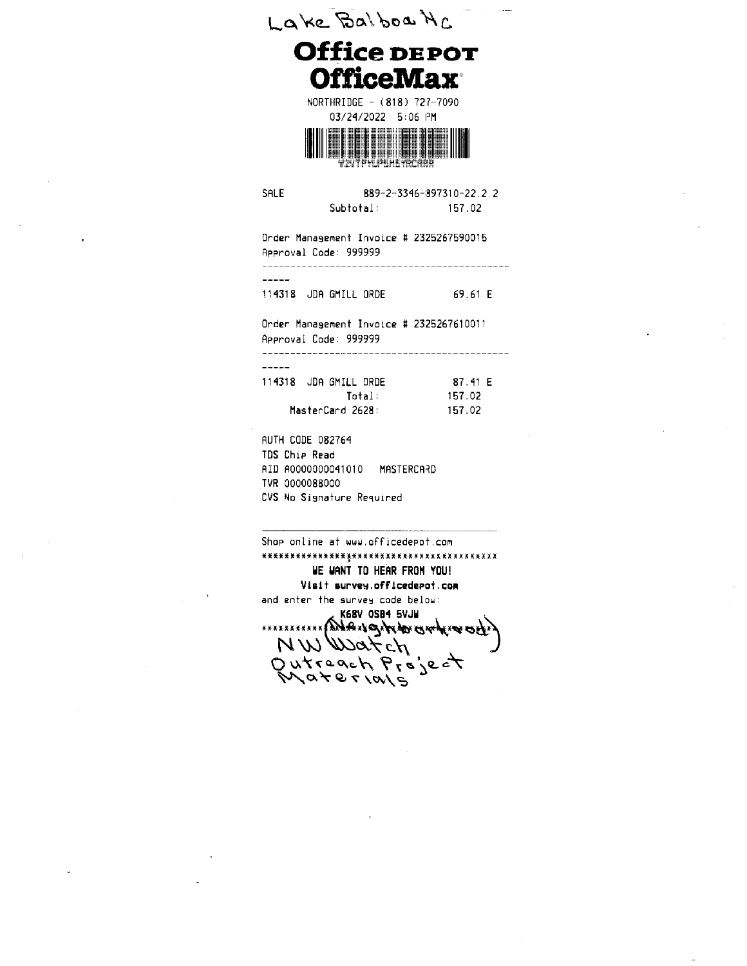**OfficeMax®** NORTHRIDGE - (818) 727-7090 03/24/2022 5:06 PM vzvtpylpum kyrcrh SALE 889-2-3346-897310-22.2.2 Subtotal: 157.02 Order Management Invoice # 2325267590015 Approval Code: 999999  $\frac{1}{2}$ 114318 JDA GMILL ORDE 69.61 E Order Management Invoice # 2325267610011 Approval Code: 999999  $\frac{1}{2}$ 114318 JDA GMILL ORDE 87.41 E 157.02 Total: MasterCard 2628: 157.02 **AUTH CODE 082764** TDS Chip Read AID A0000000041010 MASTERCARD TVR 0000088000 CVS No Signature Required

Lake Balboa NC

**Office DEPOT** 

Shop online at www.officedepot.com WE WANT TO HEAR FROM YOU! Visit survey.officedepot.com and enter the survey code below: 

NWWatch Outreach Project<br>Materials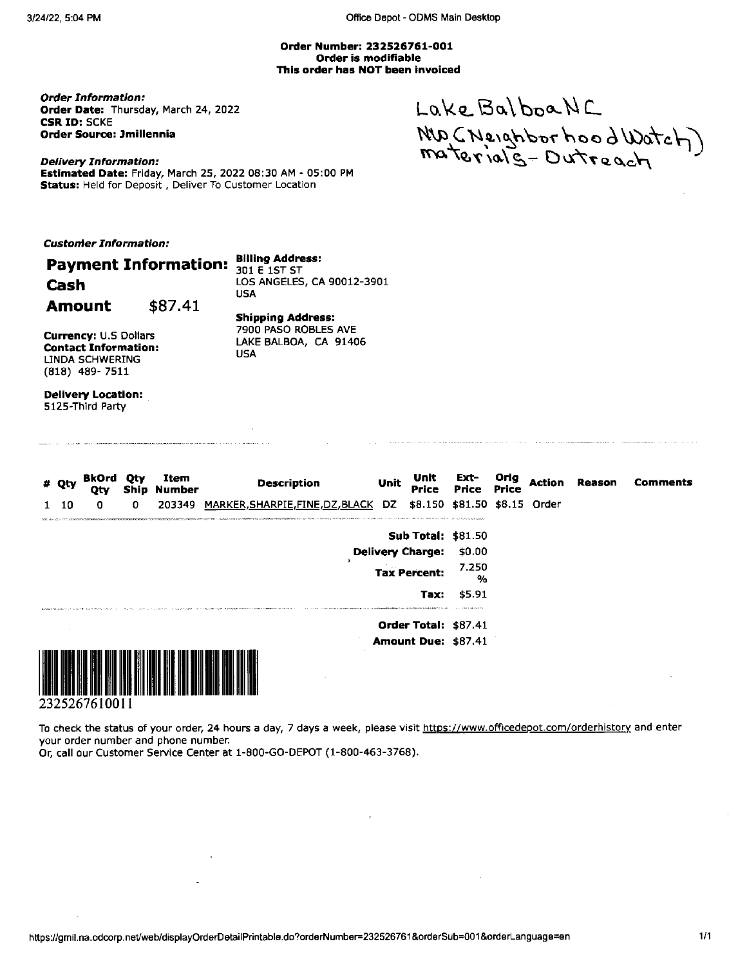Office Depot - ODMS Main Desktop

Order Number: 232526761-001 Order is modifiable This order has NOT been invoiced

**Order Information:** Order Date: Thursday, March 24, 2022 **CSR ID: SCKE** Order Source: Jmillennia

Lake Balboa NC NO (Neighborhood Watch)<br>materials-Dutreach

**Delivery Information:** Estimated Date: Friday, March 25, 2022 08:30 AM - 05:00 PM Status: Held for Deposit, Deliver To Customer Location

\$87.41

**Customer Information:** 

Cash

**Amount** 

#### **Billing Address:**

**Payment Information:** 301 E 1ST ST LOS ANGELES, CA 90012-3901 **USA** 

**Currency: U.S Dollars Contact Information: LINDA SCHWERING**  $(818)$  489-7511

**Shipping Address:** 7900 PASO ROBLES AVE LAKE BALBOA, CA 91406 **USA** 

**Delivery Location:** 5125-Third Party

| # Qty | BkOrd<br>Qty |   | Item<br><b>Ship Number</b> | <b>Description</b>                                                                                                                                                                                                                                                    | Unit | Unit<br>Price               | Ext-<br>Price Price                                 | Orig | Action | Reason | <b>Comments</b> |
|-------|--------------|---|----------------------------|-----------------------------------------------------------------------------------------------------------------------------------------------------------------------------------------------------------------------------------------------------------------------|------|-----------------------------|-----------------------------------------------------|------|--------|--------|-----------------|
| 10    | 0            | 0 | 203349                     | MARKER, SHARPIE, FINE, DZ, BLACK DZ<br>THE ASSAMPTERS ORDER AND DESCRIPTION OF THE COLUMN CONTRACT CONTRACT OF THE COLUMN OF THE COLUMN CONTRACT OF THE COLUMN COLUMN COLUMN COLUMN COLUMN COLUMN COLUMN COLUMN COLUMN COLUMN COLUMN COLUMN COLUMN COLUMN COLUMN COLU |      |                             | \$8.150 \$81.50 \$8.15 Order                        |      |        |        |                 |
|       |              |   |                            |                                                                                                                                                                                                                                                                       |      |                             | <b>Sub Total: \$81.50</b>                           |      |        |        |                 |
|       |              |   |                            |                                                                                                                                                                                                                                                                       |      | <b>Delivery Charge:</b>     | \$0.00                                              |      |        |        |                 |
|       |              |   |                            |                                                                                                                                                                                                                                                                       |      | <b>Tax Percent:</b>         | 7.250<br>%                                          |      |        |        |                 |
|       |              |   |                            | The contract of the contract of the contract of the contract of the contract of the contract of the contract of the contract of the contract of the contract of the contract of the contract of the contract of the contract o                                        |      | Tax:                        | \$5.91<br>the state of the state of the country and |      |        |        |                 |
|       |              |   |                            |                                                                                                                                                                                                                                                                       |      | <b>Order Total: \$87.41</b> |                                                     |      |        |        |                 |
|       |              |   |                            |                                                                                                                                                                                                                                                                       |      |                             | Amount Due: \$87.41                                 |      |        |        |                 |
|       |              |   |                            |                                                                                                                                                                                                                                                                       |      |                             |                                                     |      |        |        |                 |

<u> I identificati i identificati i da sun a sun anti contenta i sun anti sun i sun i sun i sun i sun i sun i su</u> 2325267610011

To check the status of your order, 24 hours a day, 7 days a week, please visit https://www.officedepot.com/orderhistory and enter your order number and phone number.

Or, call our Customer Service Center at 1-800-GO-DEPOT (1-800-463-3768).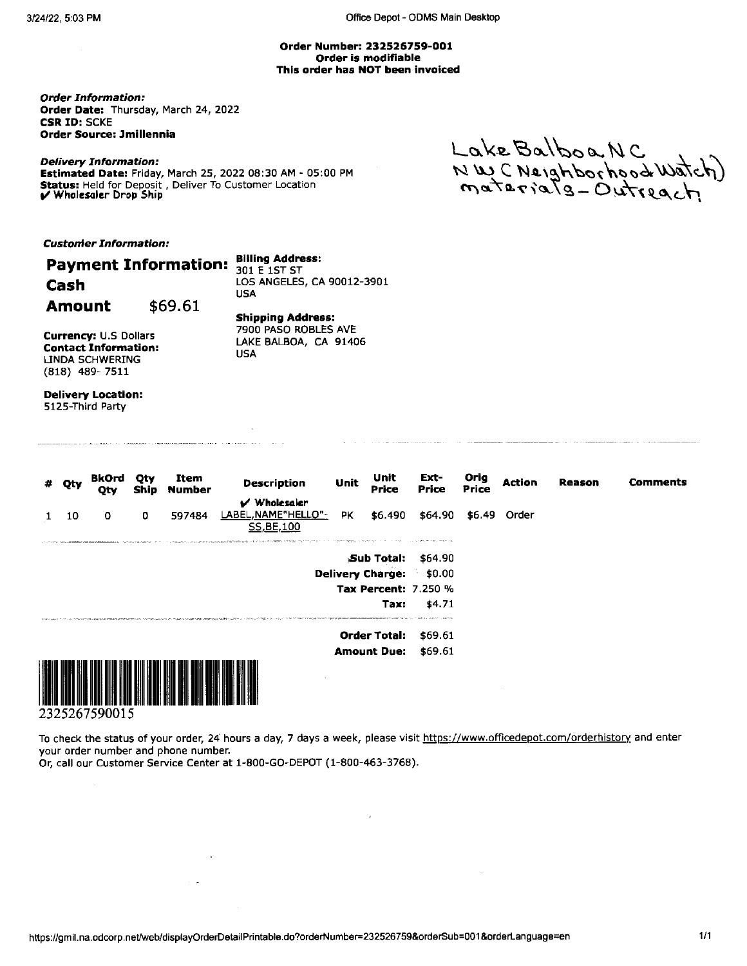#### Order Number: 232526759-001 Order is modifiable This order has NOT been invoiced

**Order Information:** Order Date: Thursday, March 24, 2022 **CSR ID: SCKE** Order Source: Jmillennia

**Delivery Information:** Estimated Date: Friday, March 25, 2022 08:30 AM - 05:00 PM Status: Held for Deposit, Deliver To Customer Location<br>V Wholesaler Drop Ship

Lake Balboa NC<br>NWC Neighborhood Watch)<br>materials-Outreach

**Customer Information:** 

|               | <b>Payment Information:</b> | <b>Billing Address:</b><br>301 E 1ST ST          |
|---------------|-----------------------------|--------------------------------------------------|
| Cash          |                             | LOS ANGELES, CA 90012-3901<br>USA                |
| <b>Amount</b> | \$69.61                     |                                                  |
|               |                             | <b>Shipping Address:</b><br>7900 PASO ROBLES AVE |

 $\sim$ 

**Currency: U.S Dollars Contact Information:** LINDA SCHWERING  $(818)$  489-7511

LAKE BALBOA, CA 91406 **USA** 

**Delivery Location:** 5125-Third Party

.<br>In the color and color of the state contract in the state color of the color

| Qty | <b>BkOrd</b><br>Qty | Qty<br>Ship | Item<br>Number | <b>Description</b>                                                                                                                                                                                                             | Unit | Unit<br><b>Price</b>    | Ext-<br>Price                  | Orig<br>Price | Action       | Reason | Comments |
|-----|---------------------|-------------|----------------|--------------------------------------------------------------------------------------------------------------------------------------------------------------------------------------------------------------------------------|------|-------------------------|--------------------------------|---------------|--------------|--------|----------|
|     |                     |             |                | V Wholesaler                                                                                                                                                                                                                   |      |                         |                                |               |              |        |          |
| 10  | $\circ$             | O           | 597484         | LABEL, NAME"HELLO"-<br>SS, BE, 100                                                                                                                                                                                             | PK.  | \$6.490                 | \$64.90                        |               | \$6.49 Order |        |          |
|     |                     |             |                | LA PORT ANLEWED ARRESTEDED EN MANAGEMENT TO A LA STREAM COMPTRIMATION OF THE POSTAGE TOWER TO THE POSTAGE OF A STREAM WARD AND THE CONTRACT A STREAM OF A LA STREAM CONTRACT OF A LA STREAM OF THE CONTRACT OF A LA STREAM OF  |      |                         | The contract with a company of |               |              |        |          |
|     |                     |             |                |                                                                                                                                                                                                                                |      |                         | <b>Sub Total: \$64.90</b>      |               |              |        |          |
|     |                     |             |                |                                                                                                                                                                                                                                |      | <b>Delivery Charge:</b> | \$0.00                         |               |              |        |          |
|     |                     |             |                |                                                                                                                                                                                                                                |      |                         | <b>Tax Percent: 7.250 %</b>    |               |              |        |          |
|     |                     |             |                |                                                                                                                                                                                                                                |      | Tax:                    | \$4.71                         |               |              |        |          |
|     |                     |             |                | change of the property of the company of the company of the company of the company of the company of the company of the company of the company of the company of the company of the company of the company of the company of t |      |                         |                                |               |              |        |          |
|     |                     |             |                |                                                                                                                                                                                                                                |      | <b>Order Total:</b>     | \$69.61                        |               |              |        |          |
|     |                     |             |                |                                                                                                                                                                                                                                |      | <b>Amount Due:</b>      | \$69.61                        |               |              |        |          |
|     |                     |             |                |                                                                                                                                                                                                                                |      |                         |                                |               |              |        |          |



2325267590015

To check the status of your order, 24 hours a day, 7 days a week, please visit https://www.officedepot.com/orderhistory and enter your order number and phone number.

 $\sim$ 

Or, call our Customer Service Center at 1-800-GO-DEPOT (1-800-463-3768).

 $\sim 10^{-1}$ 

 $\sim$   $\sim$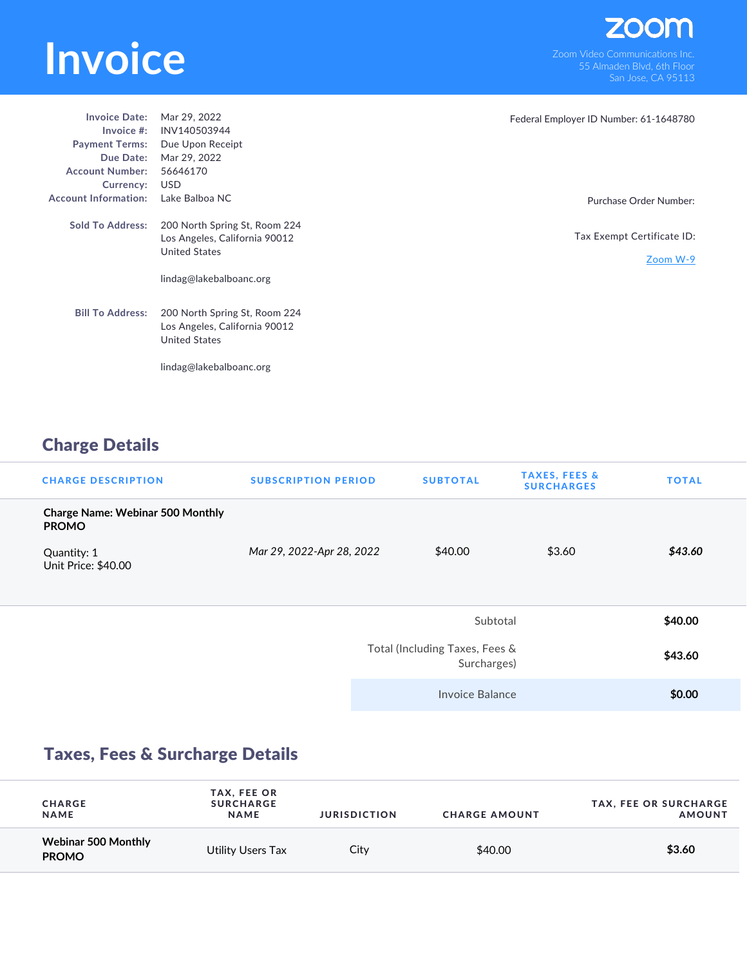# EXPORT THE SURFERIES AND THE SURFERIES AND THE SURFERIES AND VIDEO COMMUNICATIONS INC.<br>
The Surface Communications Inc.<br>
San Jose, CA 95113

| <b>Invoice Date:</b><br>Invoice $#$ :<br><b>Payment Terms:</b><br>Due Date:<br><b>Account Number:</b><br>Currency: | Mar 29, 2022<br>INV140503944<br>Due Upon Receipt<br>Mar 29, 2022<br>56646170<br>USD                               | Federal Employer ID Number: 61-1648780 |
|--------------------------------------------------------------------------------------------------------------------|-------------------------------------------------------------------------------------------------------------------|----------------------------------------|
| <b>Account Information:</b>                                                                                        | Lake Balboa NC                                                                                                    | Purchase Order Number:                 |
| <b>Sold To Address:</b>                                                                                            | 200 North Spring St, Room 224<br>Los Angeles, California 90012<br><b>United States</b><br>lindag@lakebalboanc.org | Tax Exempt Certificate ID:<br>Zoom W-9 |
| <b>Bill To Address:</b>                                                                                            | 200 North Spring St, Room 224<br>Los Angeles, California 90012<br><b>United States</b>                            |                                        |
|                                                                                                                    | lindag@lakebalboanc.org                                                                                           |                                        |

# Charge Details

| <b>CHARGE DESCRIPTION</b>                               | <b>SUBSCRIPTION PERIOD</b> | <b>SUBTOTAL</b>                               | <b>TAXES, FEES &amp;</b><br><b>SURCHARGES</b> | <b>TOTAL</b> |
|---------------------------------------------------------|----------------------------|-----------------------------------------------|-----------------------------------------------|--------------|
| <b>Charge Name: Webinar 500 Monthly</b><br><b>PROMO</b> |                            |                                               |                                               |              |
| Quantity: 1<br>Unit Price: \$40.00                      | Mar 29, 2022-Apr 28, 2022  | \$40.00                                       | \$3.60                                        | \$43.60      |
|                                                         |                            | Subtotal                                      |                                               | \$40.00      |
|                                                         |                            | Total (Including Taxes, Fees &<br>Surcharges) |                                               | \$43.60      |
|                                                         |                            | Invoice Balance                               |                                               | \$0.00       |

# Taxes, Fees & Surcharge Details

| <b>CHARGE</b><br><b>NAME</b>        | TAX, FEE OR<br><b>SURCHARGE</b><br><b>NAME</b> | <b>JURISDICTION</b> | <b>CHARGE AMOUNT</b> | <b>TAX, FEE OR SURCHARGE</b><br><b>AMOUNT</b> |
|-------------------------------------|------------------------------------------------|---------------------|----------------------|-----------------------------------------------|
| Webinar 500 Monthly<br><b>PROMO</b> | Utility Users Tax                              | City                | \$40.00              | \$3.60                                        |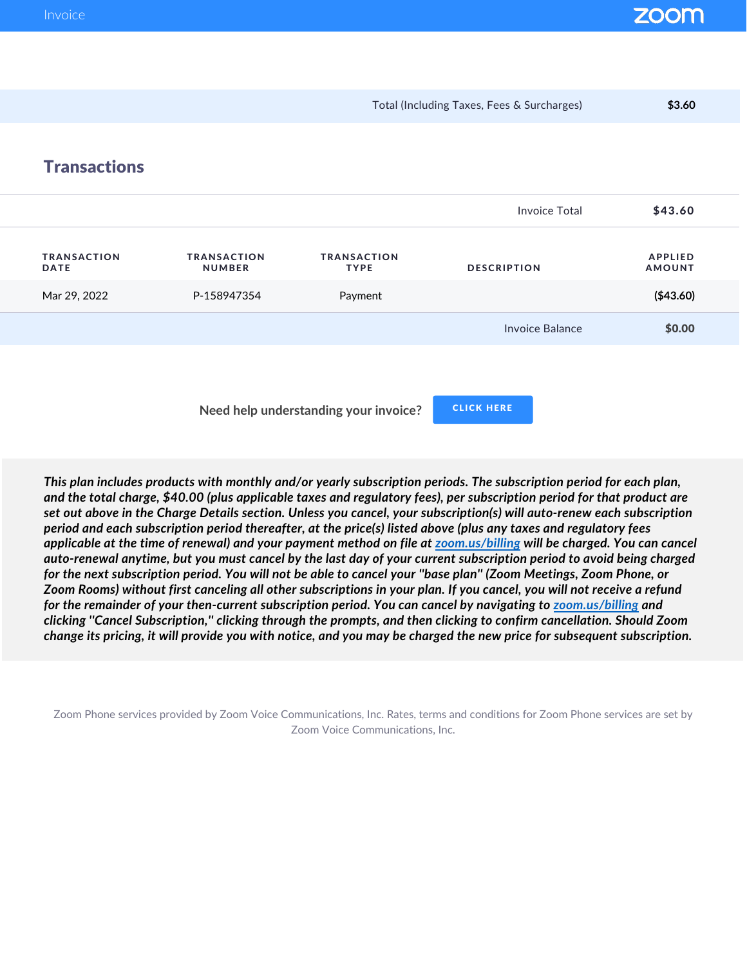Total (Including Taxes, Fees & Surcharges) **\$3.60 Transactions** Invoice Total 543.60 TRANSACTION DATE TRANSACTION NUMBER TRANSACTION TYPE DESCRIPTION APPLIED AMOUNT Mar 29, 2022 P-158947354 Payment **(\$43.60)** Invoice Balance **\$0.00** 

 **Need help understanding your invoice?**

CLICK HERE

*This plan includes products with monthly and/or yearly subscription periods. The subscription period for each plan, and the total charge, \$40.00 (plus applicable taxes and regulatory fees), per subscription period for that product are set out above in the Charge Details section. Unless you cancel, your subscription(s) will auto-renew each subscription period and each subscription period thereafter, at the price(s) listed above (plus any taxes and regulatory fees applicable at the time of renewal) and your payment method on file at zoom.us/billing will be charged. You can cancel auto-renewal anytime, but you must cancel by the last day of your current subscription period to avoid being charged for the next subscription period. You will not be able to cancel your ''base plan'' (Zoom Meetings, Zoom Phone, or Zoom Rooms) without first canceling all other subscriptions in your plan. If you cancel, you will not receive a refund for the remainder of your then-current subscription period. You can cancel by navigating to zoom.us/billing and clicking ''Cancel Subscription,'' clicking through the prompts, and then clicking to confirm cancellation. Should Zoom change its pricing, it will provide you with notice, and you may be charged the new price for subsequent subscription.*

Zoom Phone services provided by Zoom Voice Communications, Inc. Rates, terms and conditions for Zoom Phone services are set by Zoom Voice Communications, Inc.